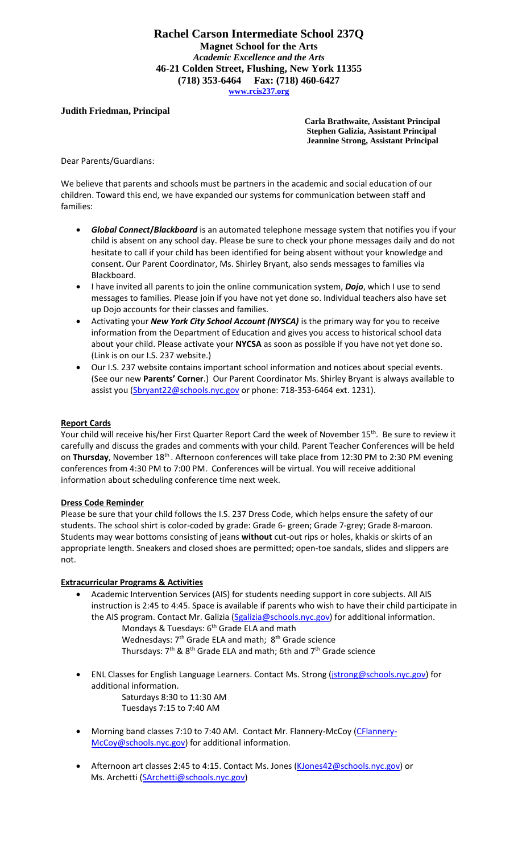### **Rachel Carson Intermediate School 237Q Magnet School for the Arts** *Academic Excellence and the Arts* **46-21 Colden Street, Flushing, New York 11355 (718) 353-6464 Fax: (718) 460-6427 [www.rcis237.org](http://www.rcis237.org/)**

## **Judith Friedman, Principal**

**Carla Brathwaite, Assistant Principal Stephen Galizia, Assistant Principal Jeannine Strong, Assistant Principal** 

Dear Parents/Guardians:

We believe that parents and schools must be partners in the academic and social education of our children. Toward this end, we have expanded our systems for communication between staff and families:

- *Global Connect***/***Blackboard* is an automated telephone message system that notifies you if your child is absent on any school day. Please be sure to check your phone messages daily and do not hesitate to call if your child has been identified for being absent without your knowledge and consent. Our Parent Coordinator, Ms. Shirley Bryant, also sends messages to families via Blackboard.
- I have invited all parents to join the online communication system, *Dojo*, which I use to send messages to families. Please join if you have not yet done so. Individual teachers also have set up Dojo accounts for their classes and families.
- Activating your *New York City School Account (NYSCA)* is the primary way for you to receive information from the Department of Education and gives you access to historical school data about your child. Please activate your **NYCSA** as soon as possible if you have not yet done so. (Link is on our I.S. 237 website.)
- Our I.S. 237 website contains important school information and notices about special events. (See our new **Parents' Corner**.) Our Parent Coordinator Ms. Shirley Bryant is always available to assist you [\(Sbryant22@schools.nyc.gov](mailto:Sbryant22@schools.nyc.gov) or phone: 718-353-6464 ext. 1231).

#### **Report Cards**

Your child will receive his/her First Quarter Report Card the week of November 15<sup>th</sup>. Be sure to review it carefully and discuss the grades and comments with your child. Parent Teacher Conferences will be held on Thursday, November 18<sup>th</sup>. Afternoon conferences will take place from 12:30 PM to 2:30 PM evening conferences from 4:30 PM to 7:00 PM. Conferences will be virtual. You will receive additional information about scheduling conference time next week.

#### **Dress Code Reminder**

Please be sure that your child follows the I.S. 237 Dress Code, which helps ensure the safety of our students. The school shirt is color-coded by grade: Grade 6- green; Grade 7-grey; Grade 8-maroon. Students may wear bottoms consisting of jeans **without** cut-out rips or holes, khakis or skirts of an appropriate length. Sneakers and closed shoes are permitted; open-toe sandals, slides and slippers are not.

#### **Extracurricular Programs & Activities**

- Academic Intervention Services (AIS) for students needing support in core subjects. All AIS instruction is 2:45 to 4:45. Space is available if parents who wish to have their child participate in the AIS program. Contact Mr. Galizia [\(Sgalizia@schools.nyc.gov\)](mailto:Sgalizia@schools.nyc.gov) for additional information. Mondays & Tuesdays: 6<sup>th</sup> Grade ELA and math
	- Wednesdays: 7<sup>th</sup> Grade ELA and math; 8<sup>th</sup> Grade science Thursdays:  $7<sup>th</sup>$  &  $8<sup>th</sup>$  Grade ELA and math; 6th and  $7<sup>th</sup>$  Grade science
- ENL Classes for English Language Learners. Contact Ms. Strong [\(jstrong@schools.nyc.gov\)](mailto:jstrong@schools.nyc.gov) for additional information. Saturdays 8:30 to 11:30 AM Tuesdays 7:15 to 7:40 AM
- Morning band classes 7:10 to 7:40 AM. Contact Mr. Flannery-McCoy [\(CFlannery-](mailto:CFlannery-McCoy@schools.nyc.gov)[McCoy@schools.nyc.gov\)](mailto:CFlannery-McCoy@schools.nyc.gov) for additional information.
- Afternoon art classes 2:45 to 4:15. Contact Ms. Jones [\(KJones42@schools.nyc.gov\)](mailto:KJones42@schools.nyc.gov) or Ms. Archetti [\(SArchetti@schools.nyc.gov\)](mailto:SArchetti@schools.nyc.gov)